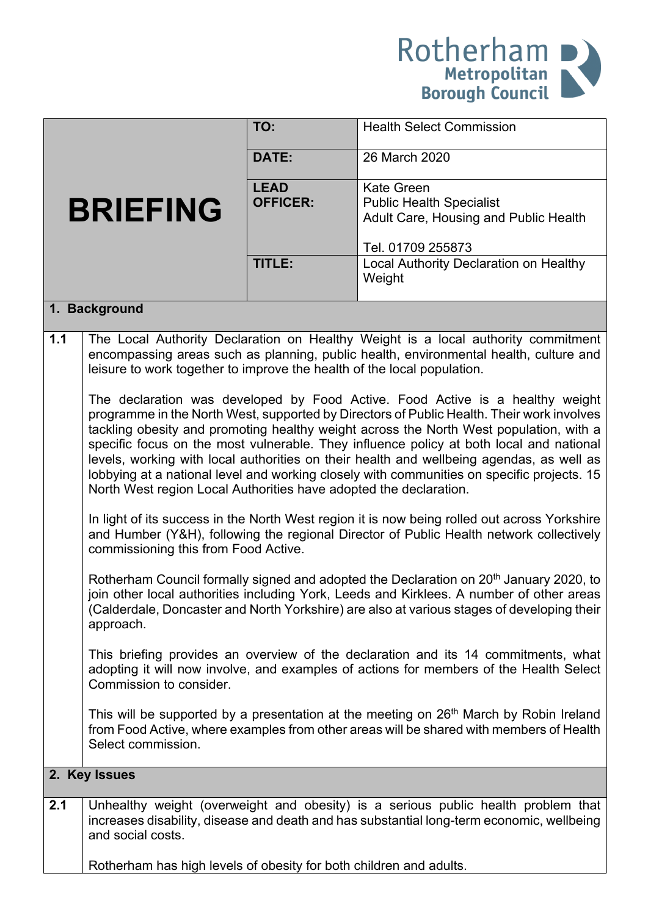

|               |                                                                                                    | TO:             | <b>Health Select Commission</b>                                                                    |  |
|---------------|----------------------------------------------------------------------------------------------------|-----------------|----------------------------------------------------------------------------------------------------|--|
|               |                                                                                                    | DATE:           | 26 March 2020                                                                                      |  |
|               |                                                                                                    | <b>LEAD</b>     | <b>Kate Green</b>                                                                                  |  |
|               |                                                                                                    | <b>OFFICER:</b> |                                                                                                    |  |
|               | <b>BRIEFING</b>                                                                                    |                 | <b>Public Health Specialist</b>                                                                    |  |
|               |                                                                                                    |                 | Adult Care, Housing and Public Health                                                              |  |
|               |                                                                                                    |                 |                                                                                                    |  |
|               |                                                                                                    |                 | Tel. 01709 255873                                                                                  |  |
|               |                                                                                                    | TITLE:          | Local Authority Declaration on Healthy                                                             |  |
|               |                                                                                                    |                 | Weight                                                                                             |  |
|               |                                                                                                    |                 |                                                                                                    |  |
|               | 1. Background                                                                                      |                 |                                                                                                    |  |
|               |                                                                                                    |                 |                                                                                                    |  |
| 1.1           |                                                                                                    |                 | The Local Authority Declaration on Healthy Weight is a local authority commitment                  |  |
|               | encompassing areas such as planning, public health, environmental health, culture and              |                 |                                                                                                    |  |
|               | leisure to work together to improve the health of the local population.                            |                 |                                                                                                    |  |
|               |                                                                                                    |                 |                                                                                                    |  |
|               | The declaration was developed by Food Active. Food Active is a healthy weight                      |                 |                                                                                                    |  |
|               |                                                                                                    |                 |                                                                                                    |  |
|               | programme in the North West, supported by Directors of Public Health. Their work involves          |                 |                                                                                                    |  |
|               | tackling obesity and promoting healthy weight across the North West population, with a             |                 |                                                                                                    |  |
|               |                                                                                                    |                 | specific focus on the most vulnerable. They influence policy at both local and national            |  |
|               |                                                                                                    |                 | levels, working with local authorities on their health and wellbeing agendas, as well as           |  |
|               |                                                                                                    |                 | lobbying at a national level and working closely with communities on specific projects. 15         |  |
|               |                                                                                                    |                 |                                                                                                    |  |
|               | North West region Local Authorities have adopted the declaration.                                  |                 |                                                                                                    |  |
|               | In light of its success in the North West region it is now being rolled out across Yorkshire       |                 |                                                                                                    |  |
|               |                                                                                                    |                 |                                                                                                    |  |
|               | and Humber (Y&H), following the regional Director of Public Health network collectively            |                 |                                                                                                    |  |
|               | commissioning this from Food Active.                                                               |                 |                                                                                                    |  |
|               |                                                                                                    |                 |                                                                                                    |  |
|               | Rotherham Council formally signed and adopted the Declaration on 20 <sup>th</sup> January 2020, to |                 |                                                                                                    |  |
|               | join other local authorities including York, Leeds and Kirklees. A number of other areas           |                 |                                                                                                    |  |
|               | (Calderdale, Doncaster and North Yorkshire) are also at various stages of developing their         |                 |                                                                                                    |  |
|               | approach.                                                                                          |                 |                                                                                                    |  |
|               |                                                                                                    |                 |                                                                                                    |  |
|               | This briefing provides an overview of the declaration and its 14 commitments, what                 |                 |                                                                                                    |  |
|               | adopting it will now involve, and examples of actions for members of the Health Select             |                 |                                                                                                    |  |
|               | Commission to consider.                                                                            |                 |                                                                                                    |  |
|               |                                                                                                    |                 |                                                                                                    |  |
|               |                                                                                                    |                 | This will be supported by a presentation at the meeting on 26 <sup>th</sup> March by Robin Ireland |  |
|               |                                                                                                    |                 | from Food Active, where examples from other areas will be shared with members of Health            |  |
|               | Select commission.                                                                                 |                 |                                                                                                    |  |
|               |                                                                                                    |                 |                                                                                                    |  |
| 2. Key Issues |                                                                                                    |                 |                                                                                                    |  |
| 2.1           |                                                                                                    |                 | Unhealthy weight (overweight and obesity) is a serious public health problem that                  |  |
|               |                                                                                                    |                 | increases disability, disease and death and has substantial long-term economic, wellbeing          |  |
|               | and social costs.                                                                                  |                 |                                                                                                    |  |
|               |                                                                                                    |                 |                                                                                                    |  |
|               |                                                                                                    |                 |                                                                                                    |  |
|               | Rotherham has high levels of obesity for both children and adults.                                 |                 |                                                                                                    |  |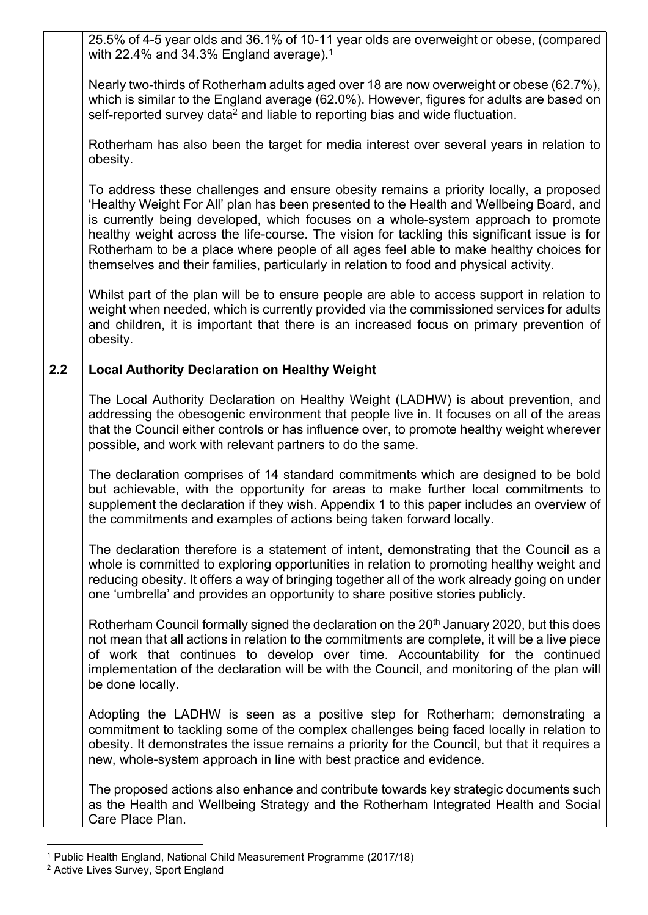25.5% of 4-5 year olds and 36.1% of 10-11 year olds are overweight or obese, (compared with 22.4% and 34.3% England average).<sup>1</sup>

Nearly two-thirds of Rotherham adults aged over 18 are now overweight or obese (62.7%), which is similar to the England average (62.0%). However, figures for adults are based on self-reported survey data<sup>2</sup> and liable to reporting bias and wide fluctuation.

Rotherham has also been the target for media interest over several years in relation to obesity.

To address these challenges and ensure obesity remains a priority locally, a proposed 'Healthy Weight For All' plan has been presented to the Health and Wellbeing Board, and is currently being developed, which focuses on a whole-system approach to promote healthy weight across the life-course. The vision for tackling this significant issue is for Rotherham to be a place where people of all ages feel able to make healthy choices for themselves and their families, particularly in relation to food and physical activity.

Whilst part of the plan will be to ensure people are able to access support in relation to weight when needed, which is currently provided via the commissioned services for adults and children, it is important that there is an increased focus on primary prevention of obesity.

### **2.2 Local Authority Declaration on Healthy Weight**

The Local Authority Declaration on Healthy Weight (LADHW) is about prevention, and addressing the obesogenic environment that people live in. It focuses on all of the areas that the Council either controls or has influence over, to promote healthy weight wherever possible, and work with relevant partners to do the same.

The declaration comprises of 14 standard commitments which are designed to be bold but achievable, with the opportunity for areas to make further local commitments to supplement the declaration if they wish. Appendix 1 to this paper includes an overview of the commitments and examples of actions being taken forward locally.

The declaration therefore is a statement of intent, demonstrating that the Council as a whole is committed to exploring opportunities in relation to promoting healthy weight and reducing obesity. It offers a way of bringing together all of the work already going on under one 'umbrella' and provides an opportunity to share positive stories publicly.

Rotherham Council formally signed the declaration on the 20<sup>th</sup> January 2020, but this does not mean that all actions in relation to the commitments are complete, it will be a live piece of work that continues to develop over time. Accountability for the continued implementation of the declaration will be with the Council, and monitoring of the plan will be done locally.

Adopting the LADHW is seen as a positive step for Rotherham; demonstrating a commitment to tackling some of the complex challenges being faced locally in relation to obesity. It demonstrates the issue remains a priority for the Council, but that it requires a new, whole-system approach in line with best practice and evidence.

The proposed actions also enhance and contribute towards key strategic documents such as the Health and Wellbeing Strategy and the Rotherham Integrated Health and Social Care Place Plan.

<sup>1</sup> Public Health England, National Child Measurement Programme (2017/18)

<sup>2</sup> Active Lives Survey, Sport England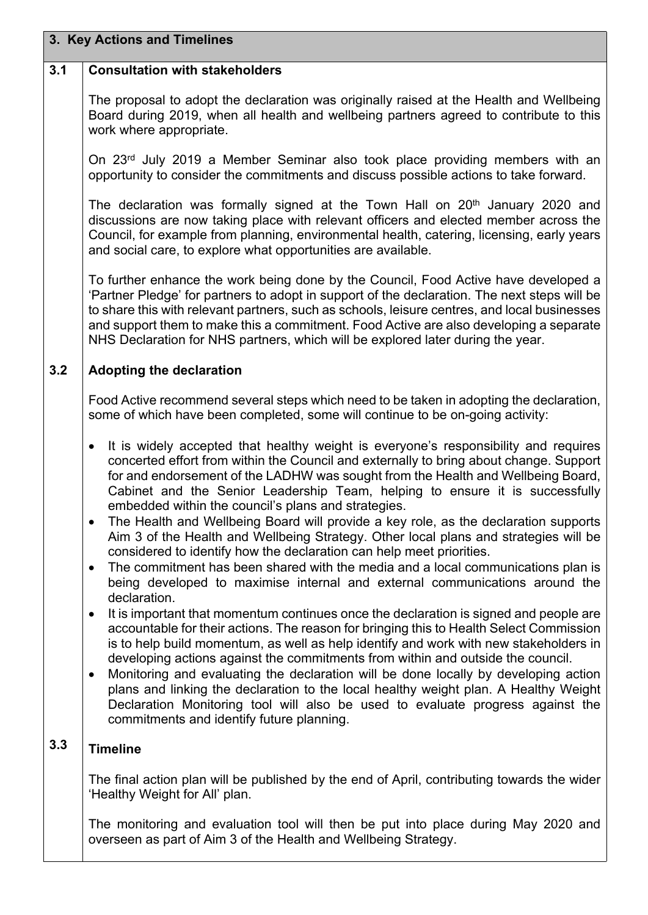# **3. Key Actions and Timelines**

#### **3.1 Consultation with stakeholders**

The proposal to adopt the declaration was originally raised at the Health and Wellbeing Board during 2019, when all health and wellbeing partners agreed to contribute to this work where appropriate.

On 23rd July 2019 a Member Seminar also took place providing members with an opportunity to consider the commitments and discuss possible actions to take forward.

The declaration was formally signed at the Town Hall on  $20<sup>th</sup>$  January 2020 and discussions are now taking place with relevant officers and elected member across the Council, for example from planning, environmental health, catering, licensing, early years and social care, to explore what opportunities are available.

To further enhance the work being done by the Council, Food Active have developed a 'Partner Pledge' for partners to adopt in support of the declaration. The next steps will be to share this with relevant partners, such as schools, leisure centres, and local businesses and support them to make this a commitment. Food Active are also developing a separate NHS Declaration for NHS partners, which will be explored later during the year.

#### **3.2 Adopting the declaration**

Food Active recommend several steps which need to be taken in adopting the declaration, some of which have been completed, some will continue to be on-going activity:

- It is widely accepted that healthy weight is everyone's responsibility and requires concerted effort from within the Council and externally to bring about change. Support for and endorsement of the LADHW was sought from the Health and Wellbeing Board, Cabinet and the Senior Leadership Team, helping to ensure it is successfully embedded within the council's plans and strategies.
- The Health and Wellbeing Board will provide a key role, as the declaration supports Aim 3 of the Health and Wellbeing Strategy. Other local plans and strategies will be considered to identify how the declaration can help meet priorities.
- The commitment has been shared with the media and a local communications plan is being developed to maximise internal and external communications around the declaration.
- It is important that momentum continues once the declaration is signed and people are accountable for their actions. The reason for bringing this to Health Select Commission is to help build momentum, as well as help identify and work with new stakeholders in developing actions against the commitments from within and outside the council.
- Monitoring and evaluating the declaration will be done locally by developing action plans and linking the declaration to the local healthy weight plan. A Healthy Weight Declaration Monitoring tool will also be used to evaluate progress against the commitments and identify future planning.

## **3.3 Timeline**

The final action plan will be published by the end of April, contributing towards the wider 'Healthy Weight for All' plan.

The monitoring and evaluation tool will then be put into place during May 2020 and overseen as part of Aim 3 of the Health and Wellbeing Strategy.